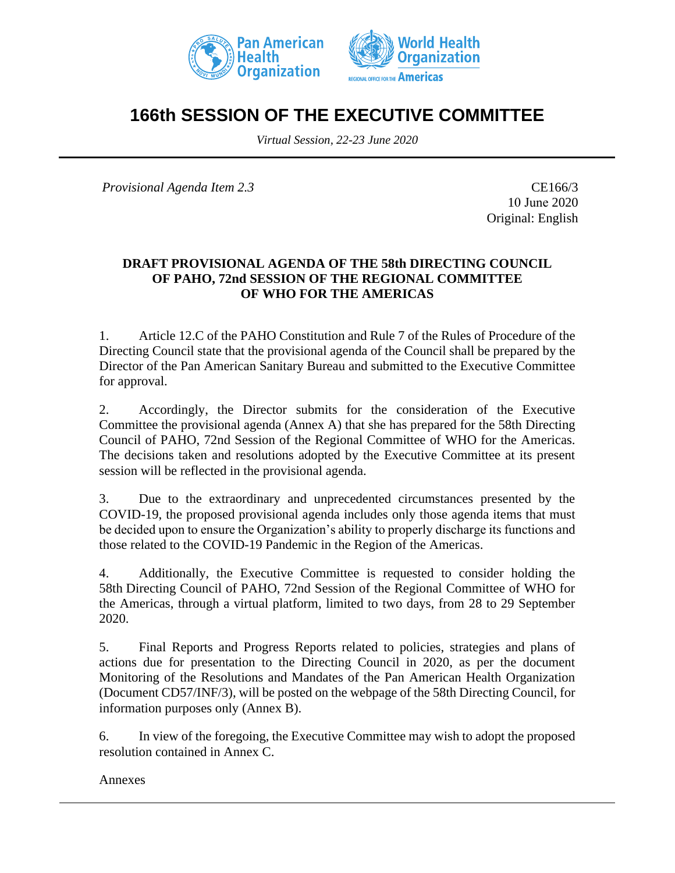



# **166th SESSION OF THE EXECUTIVE COMMITTEE**

*Virtual Session, 22-23 June 2020*

*Provisional Agenda Item 2.3* CE166/3

10 June 2020 Original: English

## **DRAFT PROVISIONAL AGENDA OF THE 58th DIRECTING COUNCIL OF PAHO, 72nd SESSION OF THE REGIONAL COMMITTEE OF WHO FOR THE AMERICAS**

1. Article 12.C of the PAHO Constitution and Rule 7 of the Rules of Procedure of the Directing Council state that the provisional agenda of the Council shall be prepared by the Director of the Pan American Sanitary Bureau and submitted to the Executive Committee for approval.

2. Accordingly, the Director submits for the consideration of the Executive Committee the provisional agenda (Annex A) that she has prepared for the 58th Directing Council of PAHO, 72nd Session of the Regional Committee of WHO for the Americas. The decisions taken and resolutions adopted by the Executive Committee at its present session will be reflected in the provisional agenda.

3. Due to the extraordinary and unprecedented circumstances presented by the COVID-19, the proposed provisional agenda includes only those agenda items that must be decided upon to ensure the Organization's ability to properly discharge its functions and those related to the COVID-19 Pandemic in the Region of the Americas.

4. Additionally, the Executive Committee is requested to consider holding the 58th Directing Council of PAHO, 72nd Session of the Regional Committee of WHO for the Americas, through a virtual platform, limited to two days, from 28 to 29 September 2020.

5. Final Reports and Progress Reports related to policies, strategies and plans of actions due for presentation to the Directing Council in 2020, as per the document Monitoring of the Resolutions and Mandates of the Pan American Health Organization (Document CD57/INF/3), will be posted on the webpage of the 58th Directing Council, for information purposes only (Annex B).

6. In view of the foregoing, the Executive Committee may wish to adopt the proposed resolution contained in Annex C.

Annexes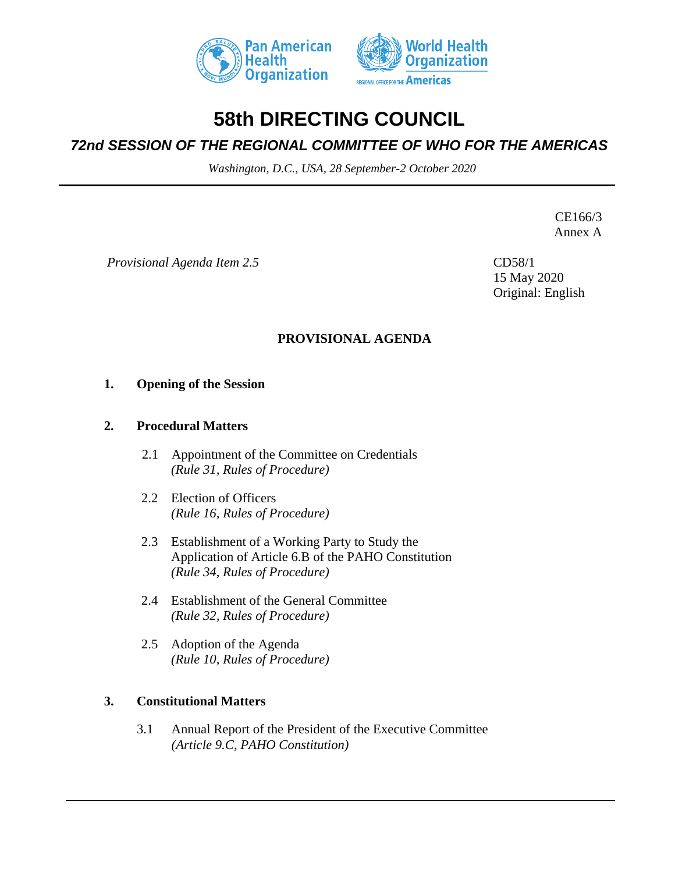



# **58th DIRECTING COUNCIL**

# *72nd SESSION OF THE REGIONAL COMMITTEE OF WHO FOR THE AMERICAS*

*Washington, D.C., USA, 28 September-2 October 2020*

CE166/3 Annex A

*Provisional Agenda Item 2.5*

CD58/1 15 May 2020 Original: English

## **PROVISIONAL AGENDA**

#### **1. Opening of the Session**

#### **2. Procedural Matters**

- 2.1 Appointment of the Committee on Credentials *(Rule 31, Rules of Procedure)*
- 2.2 Election of Officers *(Rule 16, Rules of Procedure)*
- 2.3 Establishment of a Working Party to Study the Application of Article 6.B of the PAHO Constitution *(Rule 34, Rules of Procedure)*
- 2.4 Establishment of the General Committee *(Rule 32, Rules of Procedure)*
- 2.5 Adoption of the Agenda *(Rule 10, Rules of Procedure)*

## **3. Constitutional Matters**

3.1 Annual Report of the President of the Executive Committee *(Article 9.C, PAHO Constitution)*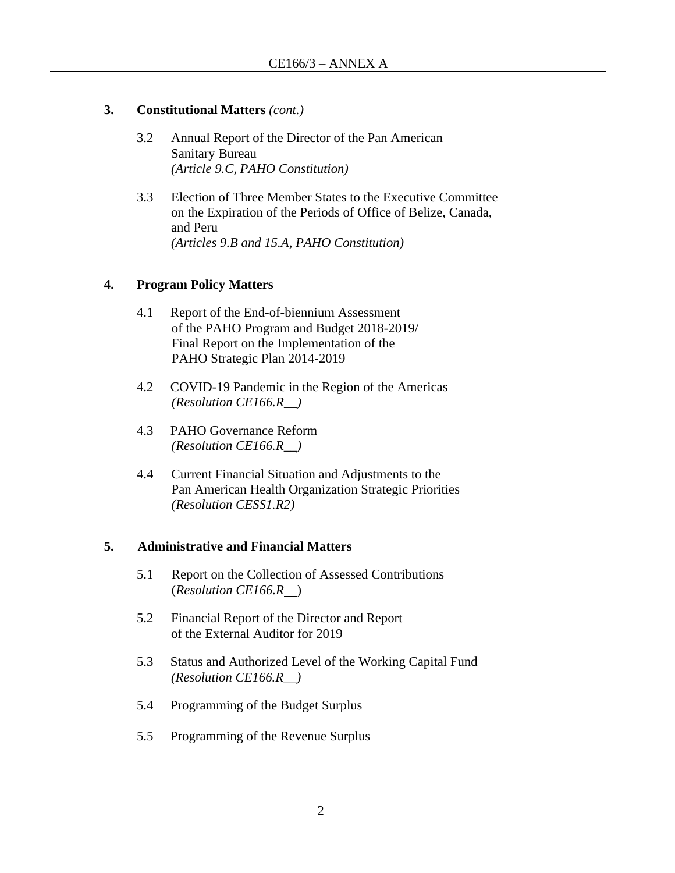# **3. Constitutional Matters** *(cont.)*

- 3.2 Annual Report of the Director of the Pan American Sanitary Bureau *(Article 9.C, PAHO Constitution)*
- 3.3 Election of Three Member States to the Executive Committee on the Expiration of the Periods of Office of Belize, Canada, and Peru *(Articles 9.B and 15.A, PAHO Constitution)*

## **4. Program Policy Matters**

- 4.1 Report of the End-of-biennium Assessment of the PAHO Program and Budget 2018-2019/ Final Report on the Implementation of the PAHO Strategic Plan 2014-2019
- 4.2 COVID-19 Pandemic in the Region of the Americas *(Resolution CE166.R\_\_)*
- 4.3 PAHO Governance Reform *(Resolution CE166.R\_\_)*
- 4.4 Current Financial Situation and Adjustments to the Pan American Health Organization Strategic Priorities *(Resolution CESS1.R2)*

## **5. Administrative and Financial Matters**

- 5.1 Report on the Collection of Assessed Contributions (*Resolution CE166.R* )
- 5.2 Financial Report of the Director and Report of the External Auditor for 2019
- 5.3 Status and Authorized Level of the Working Capital Fund *(Resolution CE166.R\_\_)*
- 5.4 Programming of the Budget Surplus
- 5.5 Programming of the Revenue Surplus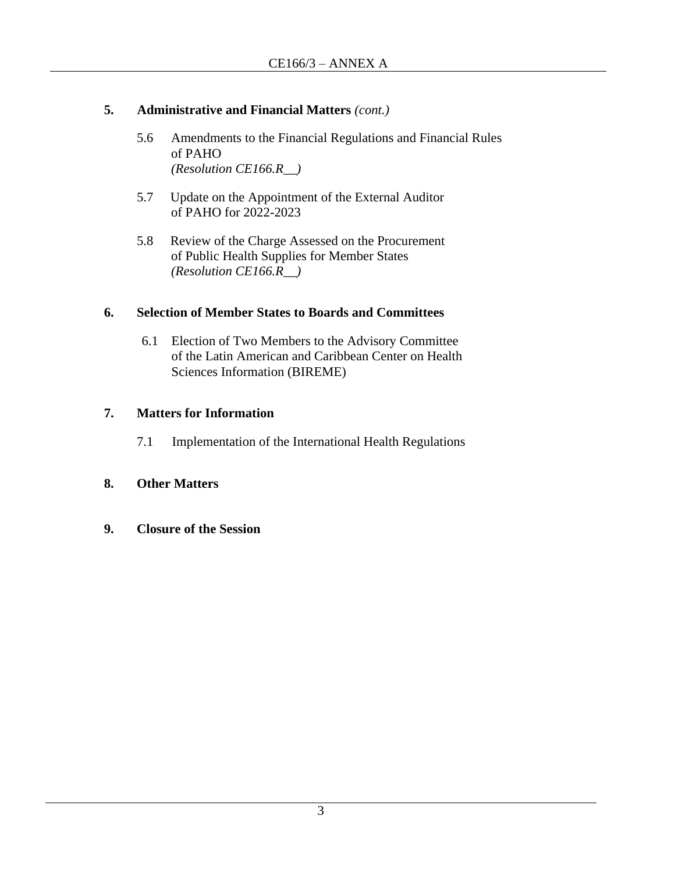# **5. Administrative and Financial Matters** *(cont.)*

- 5.6 Amendments to the Financial Regulations and Financial Rules of PAHO *(Resolution CE166.R\_\_)*
- 5.7 Update on the Appointment of the External Auditor of PAHO for 2022-2023
- 5.8 Review of the Charge Assessed on the Procurement of Public Health Supplies for Member States *(Resolution CE166.R\_\_)*

# **6. Selection of Member States to Boards and Committees**

6.1 Election of Two Members to the Advisory Committee of the Latin American and Caribbean Center on Health Sciences Information (BIREME)

# **7. Matters for Information**

7.1 Implementation of the International Health Regulations

# **8. Other Matters**

**9. Closure of the Session**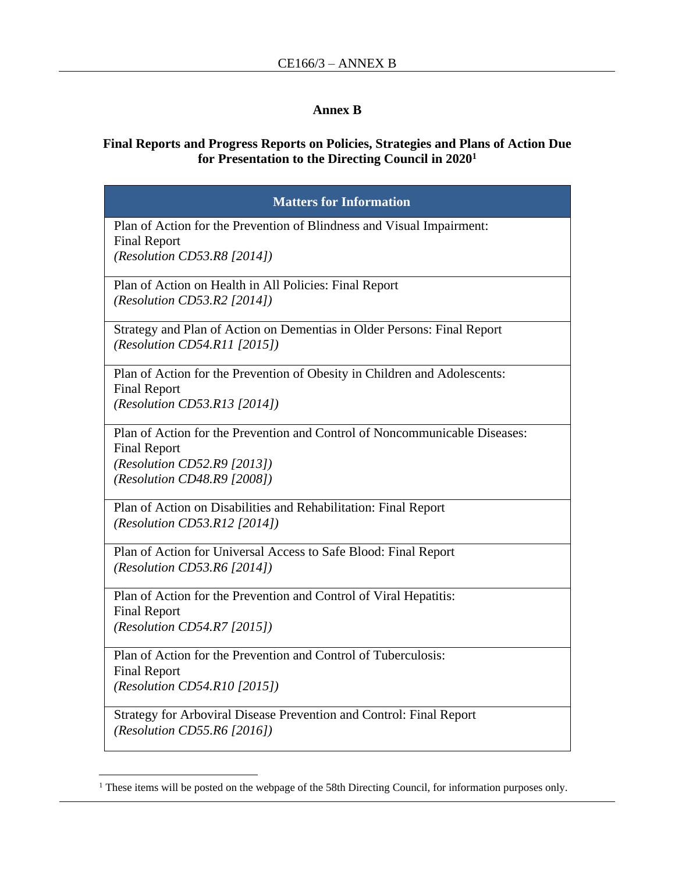#### **Annex B**

# **Final Reports and Progress Reports on Policies, Strategies and Plans of Action Due for Presentation to the Directing Council in 2020<sup>1</sup>**

| <b>Matters for Information</b>                                                                                                                                        |
|-----------------------------------------------------------------------------------------------------------------------------------------------------------------------|
| Plan of Action for the Prevention of Blindness and Visual Impairment:<br><b>Final Report</b><br>(Resolution CD53.R8 $[2014]$ )                                        |
| Plan of Action on Health in All Policies: Final Report<br>(Resolution CD53.R2 $[2014]$ )                                                                              |
| Strategy and Plan of Action on Dementias in Older Persons: Final Report<br>(Resolution CD54. R11 [2015])                                                              |
| Plan of Action for the Prevention of Obesity in Children and Adolescents:<br><b>Final Report</b><br>(Resolution CD53.R13 [2014])                                      |
| Plan of Action for the Prevention and Control of Noncommunicable Diseases:<br><b>Final Report</b><br>(Resolution CD52.R9 $[2013]$ )<br>(Resolution CD48.R9 $[2008]$ ) |
| Plan of Action on Disabilities and Rehabilitation: Final Report<br>(Resolution CD53.R12 [2014])                                                                       |
| Plan of Action for Universal Access to Safe Blood: Final Report<br>(Resolution CD53.R6 [2014])                                                                        |
| Plan of Action for the Prevention and Control of Viral Hepatitis:<br><b>Final Report</b><br>(Resolution CD54.R7 $[2015]$ )                                            |
| Plan of Action for the Prevention and Control of Tuberculosis:<br><b>Final Report</b><br>(Resolution CD54.R10 [2015])                                                 |
| Strategy for Arboviral Disease Prevention and Control: Final Report<br>(Resolution CD55.R6 $[2016]$ )                                                                 |

<sup>&</sup>lt;sup>1</sup> These items will be posted on the webpage of the 58th Directing Council, for information purposes only.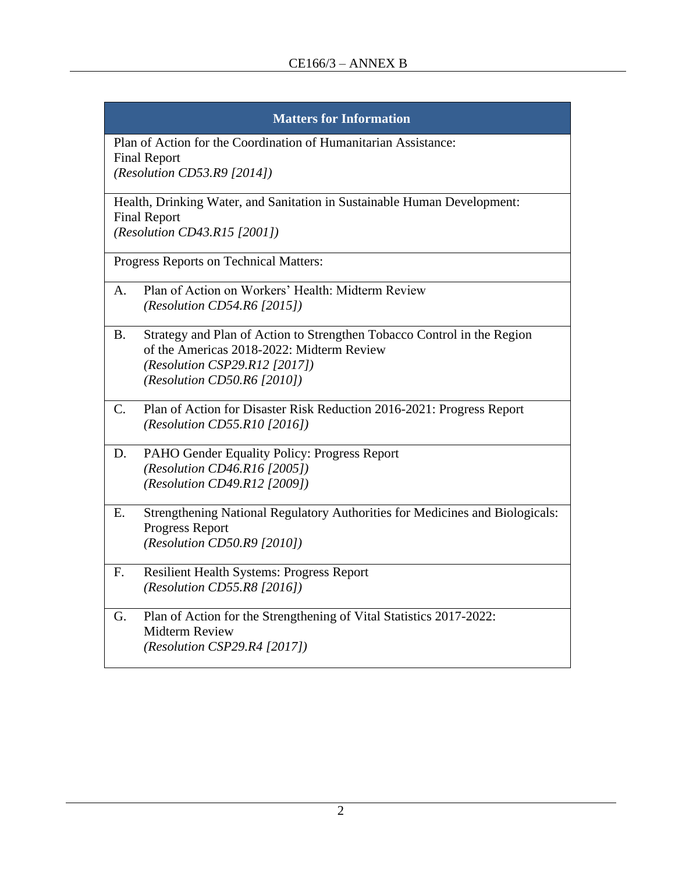| <b>Matters for Information</b>                                                                                                                                                                       |
|------------------------------------------------------------------------------------------------------------------------------------------------------------------------------------------------------|
| Plan of Action for the Coordination of Humanitarian Assistance:<br><b>Final Report</b><br>(Resolution CD53.R9 $[2014]$ )                                                                             |
| Health, Drinking Water, and Sanitation in Sustainable Human Development:<br><b>Final Report</b><br>(Resolution CD43.R15 [2001])                                                                      |
| Progress Reports on Technical Matters:                                                                                                                                                               |
| Plan of Action on Workers' Health: Midterm Review<br>$A_{\cdot}$<br>(Resolution CD54.R6 $[2015]$ )                                                                                                   |
| Strategy and Plan of Action to Strengthen Tobacco Control in the Region<br><b>B.</b><br>of the Americas 2018-2022: Midterm Review<br>(Resolution CSP29.R12 [2017])<br>(Resolution CD50.R6 $[2010]$ ) |
| Plan of Action for Disaster Risk Reduction 2016-2021: Progress Report<br>$C_{\cdot}$<br>(Resolution CD55.R10 [2016])                                                                                 |
| PAHO Gender Equality Policy: Progress Report<br>D.<br>(Resolution CD46.R16 [2005])<br>(Resolution CD49.R12 [2009])                                                                                   |
| Strengthening National Regulatory Authorities for Medicines and Biologicals:<br>E.<br><b>Progress Report</b><br>(Resolution CD50.R9 $[2010]$ )                                                       |
| <b>Resilient Health Systems: Progress Report</b><br>F.<br>(Resolution CD55.R8 $[2016]$ )                                                                                                             |
| Plan of Action for the Strengthening of Vital Statistics 2017-2022:<br>G.<br><b>Midterm Review</b><br>$(Resolution \; CSP29.R4 \; [2017])$                                                           |